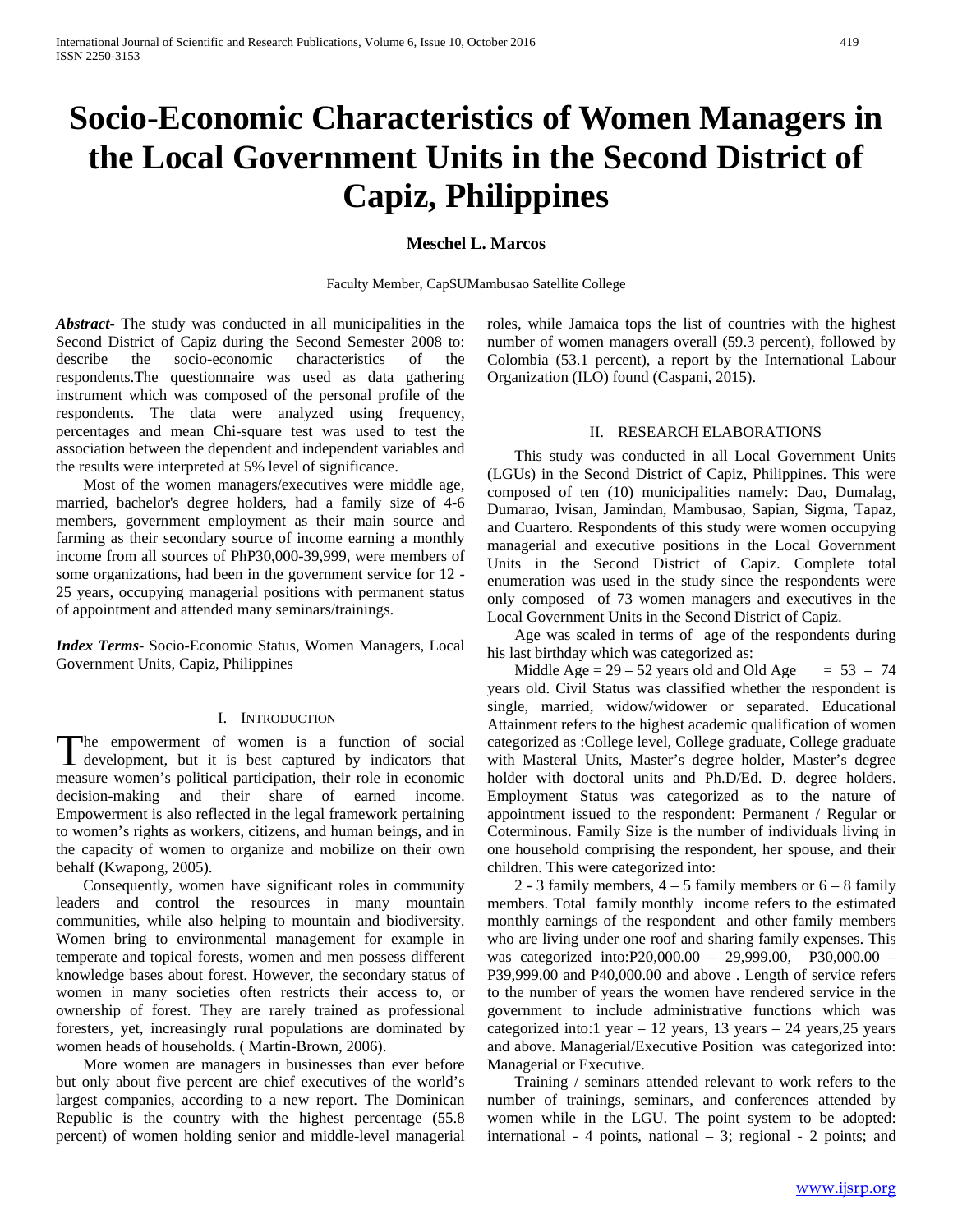# **Socio-Economic Characteristics of Women Managers in the Local Government Units in the Second District of Capiz, Philippines**

## **Meschel L. Marcos**

Faculty Member, CapSUMambusao Satellite College

*Abstract***-** The study was conducted in all municipalities in the Second District of Capiz during the Second Semester 2008 to: describe the socio-economic characteristics of the respondents.The questionnaire was used as data gathering instrument which was composed of the personal profile of the respondents. The data were analyzed using frequency, percentages and mean Chi-square test was used to test the association between the dependent and independent variables and the results were interpreted at 5% level of significance.

 Most of the women managers/executives were middle age, married, bachelor's degree holders, had a family size of 4-6 members, government employment as their main source and farming as their secondary source of income earning a monthly income from all sources of PhP30,000-39,999, were members of some organizations, had been in the government service for 12 - 25 years, occupying managerial positions with permanent status of appointment and attended many seminars/trainings.

*Index Terms*- Socio-Economic Status, Women Managers, Local Government Units, Capiz, Philippines

#### I. INTRODUCTION

he empowerment of women is a function of social The empowerment of women is a function of social development, but it is best captured by indicators that measure women's political participation, their role in economic decision-making and their share of earned income. Empowerment is also reflected in the legal framework pertaining to women's rights as workers, citizens, and human beings, and in the capacity of women to organize and mobilize on their own behalf (Kwapong, 2005).

 Consequently, women have significant roles in community leaders and control the resources in many mountain communities, while also helping to mountain and biodiversity. Women bring to environmental management for example in temperate and topical forests, women and men possess different knowledge bases about forest. However, the secondary status of women in many societies often restricts their access to, or ownership of forest. They are rarely trained as professional foresters, yet, increasingly rural populations are dominated by women heads of households. ( Martin-Brown, 2006).

 More women are managers in businesses than ever before but only about five percent are chief executives of the world's largest companies, according to a new report. The Dominican Republic is the country with the highest percentage (55.8 percent) of women holding senior and middle-level managerial

roles, while Jamaica tops the list of countries with the highest number of women managers overall (59.3 percent), followed by Colombia (53.1 percent), a report by the International Labour Organization (ILO) found (Caspani, 2015).

#### II. RESEARCH ELABORATIONS

 This study was conducted in all Local Government Units (LGUs) in the Second District of Capiz, Philippines. This were composed of ten (10) municipalities namely: Dao, Dumalag, Dumarao, Ivisan, Jamindan, Mambusao, Sapian, Sigma, Tapaz, and Cuartero. Respondents of this study were women occupying managerial and executive positions in the Local Government Units in the Second District of Capiz. Complete total enumeration was used in the study since the respondents were only composed of 73 women managers and executives in the Local Government Units in the Second District of Capiz.

 Age was scaled in terms of age of the respondents during his last birthday which was categorized as:

Middle Age =  $29 - 52$  years old and Old Age =  $53 - 74$ years old. Civil Status was classified whether the respondent is single, married, widow/widower or separated. Educational Attainment refers to the highest academic qualification of women categorized as :College level, College graduate, College graduate with Masteral Units, Master's degree holder, Master's degree holder with doctoral units and Ph.D/Ed. D. degree holders. Employment Status was categorized as to the nature of appointment issued to the respondent: Permanent / Regular or Coterminous. Family Size is the number of individuals living in one household comprising the respondent, her spouse, and their children. This were categorized into:

2 - 3 family members,  $4 - 5$  family members or  $6 - 8$  family members. Total family monthly income refers to the estimated monthly earnings of the respondent and other family members who are living under one roof and sharing family expenses. This was categorized into:P20,000.00 – 29,999.00, P30,000.00 – P39,999.00 and P40,000.00 and above . Length of service refers to the number of years the women have rendered service in the government to include administrative functions which was categorized into:1 year – 12 years, 13 years – 24 years,25 years and above. Managerial/Executive Position was categorized into: Managerial or Executive.

 Training / seminars attended relevant to work refers to the number of trainings, seminars, and conferences attended by women while in the LGU. The point system to be adopted: international - 4 points, national – 3; regional - 2 points; and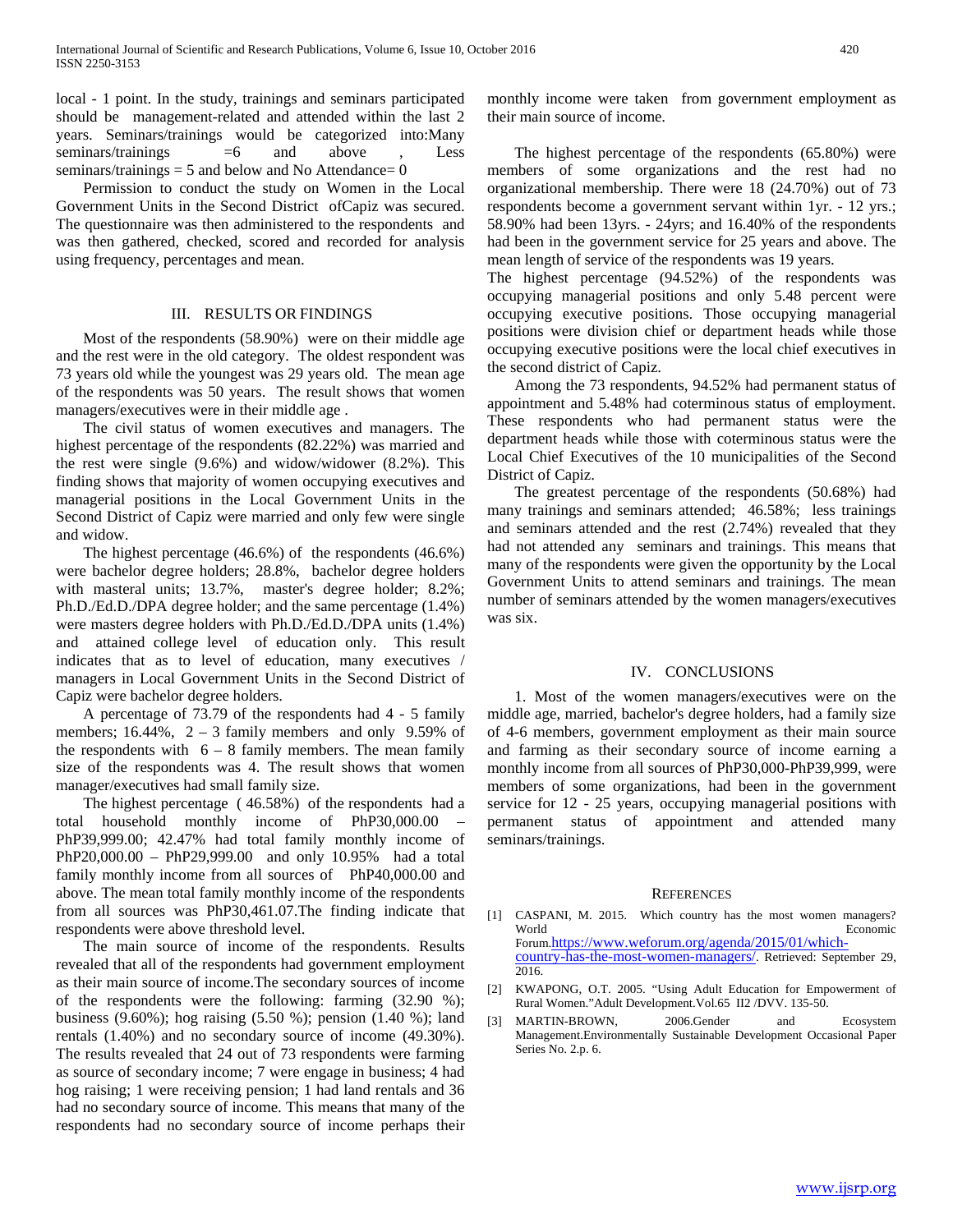local - 1 point. In the study, trainings and seminars participated should be management-related and attended within the last 2 years. Seminars/trainings would be categorized into:Many seminars/trainings  $=6$  and above , Less seminars/trainings  $= 5$  and below and No Attendance $= 0$ 

 Permission to conduct the study on Women in the Local Government Units in the Second District ofCapiz was secured. The questionnaire was then administered to the respondents and was then gathered, checked, scored and recorded for analysis using frequency, percentages and mean.

### III. RESULTS OR FINDINGS

 Most of the respondents (58.90%) were on their middle age and the rest were in the old category. The oldest respondent was 73 years old while the youngest was 29 years old. The mean age of the respondents was 50 years. The result shows that women managers/executives were in their middle age .

 The civil status of women executives and managers. The highest percentage of the respondents (82.22%) was married and the rest were single (9.6%) and widow/widower (8.2%). This finding shows that majority of women occupying executives and managerial positions in the Local Government Units in the Second District of Capiz were married and only few were single and widow.

 The highest percentage (46.6%) of the respondents (46.6%) were bachelor degree holders; 28.8%, bachelor degree holders with masteral units; 13.7%, master's degree holder; 8.2%; Ph.D./Ed.D./DPA degree holder; and the same percentage (1.4%) were masters degree holders with Ph.D./Ed.D./DPA units (1.4%) and attained college level of education only. This result indicates that as to level of education, many executives / managers in Local Government Units in the Second District of Capiz were bachelor degree holders.

 A percentage of 73.79 of the respondents had 4 - 5 family members; 16.44%,  $2 - 3$  family members and only 9.59% of the respondents with  $6 - 8$  family members. The mean family size of the respondents was 4. The result shows that women manager/executives had small family size.

 The highest percentage ( 46.58%) of the respondents had a total household monthly income of PhP30,000.00 – PhP39,999.00; 42.47% had total family monthly income of PhP20,000.00 – PhP29,999.00 and only 10.95% had a total family monthly income from all sources of PhP40,000.00 and above. The mean total family monthly income of the respondents from all sources was PhP30,461.07.The finding indicate that respondents were above threshold level.

 The main source of income of the respondents. Results revealed that all of the respondents had government employment as their main source of income.The secondary sources of income of the respondents were the following: farming (32.90 %); business (9.60%); hog raising (5.50 %); pension (1.40 %); land rentals (1.40%) and no secondary source of income (49.30%). The results revealed that 24 out of 73 respondents were farming as source of secondary income; 7 were engage in business; 4 had hog raising; 1 were receiving pension; 1 had land rentals and 36 had no secondary source of income. This means that many of the respondents had no secondary source of income perhaps their monthly income were taken from government employment as their main source of income.

 The highest percentage of the respondents (65.80%) were members of some organizations and the rest had no organizational membership. There were 18 (24.70%) out of 73 respondents become a government servant within 1yr. - 12 yrs.; 58.90% had been 13yrs. - 24yrs; and 16.40% of the respondents had been in the government service for 25 years and above. The mean length of service of the respondents was 19 years.

The highest percentage (94.52%) of the respondents was occupying managerial positions and only 5.48 percent were occupying executive positions. Those occupying managerial positions were division chief or department heads while those occupying executive positions were the local chief executives in the second district of Capiz.

 Among the 73 respondents, 94.52% had permanent status of appointment and 5.48% had coterminous status of employment. These respondents who had permanent status were the department heads while those with coterminous status were the Local Chief Executives of the 10 municipalities of the Second District of Capiz.

 The greatest percentage of the respondents (50.68%) had many trainings and seminars attended; 46.58%; less trainings and seminars attended and the rest (2.74%) revealed that they had not attended any seminars and trainings. This means that many of the respondents were given the opportunity by the Local Government Units to attend seminars and trainings. The mean number of seminars attended by the women managers/executives was six.

#### IV. CONCLUSIONS

 1. Most of the women managers/executives were on the middle age, married, bachelor's degree holders, had a family size of 4-6 members, government employment as their main source and farming as their secondary source of income earning a monthly income from all sources of PhP30,000-PhP39,999, were members of some organizations, had been in the government service for 12 - 25 years, occupying managerial positions with permanent status of appointment and attended many seminars/trainings.

#### **REFERENCES**

- [1] CASPANI, M. 2015. Which country has the most women managers? World<br>Forum.https://www.weforum.org/agenda/2015/01/which[country-has-the-most-women-managers/.](https://www.weforum.org/agenda/2015/01/which-country-has-the-most-women-managers/) Retrieved: September 29, 2016.
- [2] KWAPONG, O.T. 2005. "Using Adult Education for Empowerment of Rural Women."Adult Development.Vol.65 II2 /DVV. 135-50.
- [3] MARTIN-BROWN, 2006.Gender and Ecosystem Management.Environmentally Sustainable Development Occasional Paper Series No. 2.p. 6.